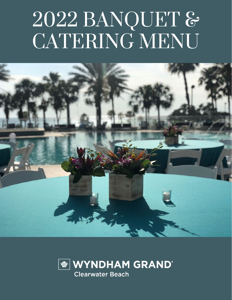## 2022 BANQUET & CATERING MENU



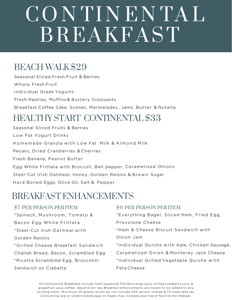## CO N TI N E N TA L BREAKFAST

#### BEACH WALK\$29

Seasonal Sliced Fresh Fruit & Berries Whole Fresh Fruit Individual Greek Yogurts Fresh Pastries, Muffins & Buttery Croissants Breakfast Coffee Cake, Scones, Marmalades, Jams, Butter & Nutella

#### HEALTHY START CONTINENTAL \$33

Seasonal Sliced Fruits & Berries Low Fat Yogurt Drinks Homemade Granola with Low Fat Milk & Almond Milk Pecans, Dried Cranberries & Cherries Fresh Banana, Peanut Butter Egg White Frittata with Broccoli, Bell pepper, Caramelized Onions Steel-Cut Irish Oatmeal, Honey, Golden Raisins & Brown Sugar Hard Boiled Eggs, Olive Oil, Salt & Pepper

#### BREAKFAST ENHANCEMENTS

#### \$7 PER PERSON PER ITEM

\*Spinach, Mushroom, Tomato & Bacon Egg White Frittata \*Steel-Cut Irish Oatmeal with Golden Raisins \*Grilled Cheese Breakfast Sandwich Challah Bread, Bacon, Scrambled Egg \*Ricotta Scrambled Egg, Broccolini Sandwich on Ciabatta

#### \$9 PER PERSON PER ITEM

\*Everything Bagel, Sliced Ham, Fried Egg, Provolone Cheese \*Ham & Cheese Biscuit Sandwich with Onion Jam \* Individual Quiche with Kale, Chicken Sausage, Caramelized Onion & Monterey Jack Cheese \*Individual Grilled Vegetable Quiche with Feta Cheese

All Continental Breakfasts include fresh squeezed Florida orange juice, chilled cranberry juice, & grapefruit juice, coffee, decaf & hot tea. Breakfast enhancements are meant to be added to any existing menu. Minimum 20 guests, prices do not include 24% service charge & 7% state sales tax. Consuming raw or undercooked eggs or meats may increase your risk of food borne illnesses.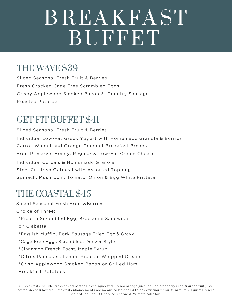## B R EA K FA ST BUFFET

### THE WAVE \$39

Sliced Seasonal Fresh Fruit & Berries Fresh Cracked Cage Free Scrambled Eggs Crispy Applewood Smoked Bacon & Country Sausage Roasted Potatoes

## GET FIT BUFFET \$41

Sliced Seasonal Fresh Fruit & Berries Individual Low-Fat Greek Yogurt with Homemade Granola & Berries Carrot-Walnut and Orange Coconut Breakfast Breads Fruit Preserve, Honey, Regular & Low-Fat Cream Cheese Individual Cereals & Homemade Granola Steel Cut Irish Oatmeal with Assorted Topping Spinach, Mushroom, Tomato, Onion & Egg White Frittata

#### THE COASTAL \$45

Sliced Seasonal Fresh Fruit & Berries Choice of Three: \*Ricotta Scrambled Egg, Broccolini Sandwich on Ciabatta \*English Muffin, Pork Sausage,Fried Egg & Gravy \*Cage Free Eggs Scrambled, Denver Style \*Cinnamon French Toast, Maple Syrup \*Citrus Pancakes, Lemon Ricotta, Whipped Cream \*Crisp Applewood Smoked Bacon or Grilled Ham Breakfast Potatoes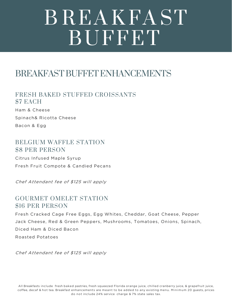## B R EA K FA ST BUFFET

#### BREAKFAST BUFFET ENHANCEMENTS

FRESH BAKED STUFFED CROISSANTS \$7 EACH

Ham & Cheese Spinach& Ricotta Cheese Bacon & Egg

#### BELGIUM WAFFLE STATION \$8 PER PERSON

Citrus Infused Maple Syrup Fresh Fruit Compote & Candied Pecans

Chef Attendant fee of \$125 will apply

#### GOURMET OMELET STATION \$16 PER PERSON

Fresh Cracked Cage Free Eggs, Egg Whites, Cheddar, Goat Cheese, Pepper Jack Cheese, Red & Green Peppers, Mushrooms, Tomatoes, Onions, Spinach, Diced Ham & Diced Bacon Roasted Potatoes

Chef Attendant fee of \$125 will apply

All Breakfasts include fresh baked pastries, fresh squeezed Florida orange juice, chilled cranberry juice, & grapefruit juice, coffee, decaf & hot tea. Breakfast enhancements are meant to be added to any existing menu. Minimum 20 guests, prices do not include 24% service charge & 7% state sales tax.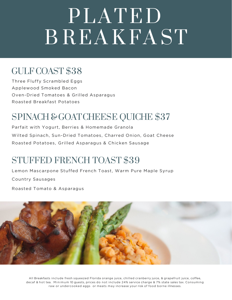## PLATED B R EAK FAST

### GULF COAST \$38

Three Fluffy Scrambled Eggs Applewood Smoked Bacon Oven-Dried Tomatoes & Grilled Asparagus Roasted Breakfast Potatoes

## SPINACH & GOAT CHEESE QUICHE \$37

Parfait with Yogurt, Berries & Homemade Granola Wilted Spinach, Sun-Dried Tomatoes, Charred Onion, Goat Cheese Roasted Potatoes, Grilled Asparagus & Chicken Sausage

## STUFFED FRENCH TOAST \$39

Lemon Mascarpone Stuffed French Toast, Warm Pure Maple Syrup Country Sausages

Roasted Tomato & Asparagus



All Breakfasts include fresh squeezed Florida orange juice, chilled cranberry juice, & grapefruit juice, coffee, decaf & hot tea. Minimum 10 guests, prices do not include 24% service charge & 7% state sales tax. Consuming raw or undercooked eggs or meats may increase your risk of food borne illnesses.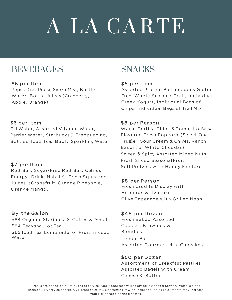# A LA CA R TE

#### BEVERAGES

#### \$5 per Item

Pepsi, Diet Pepsi, Sierra Mist, Bottle Water, Bottle Juices (Cranberry, Apple, Orange)

#### \$6 per Item

Fiji Water, Assorted Vitamin Water, Perrier Water, Starbucks® Frappuccino, Bottled Iced Tea, Bubly Sparkling Water

#### \$7 per Item

Red Bull, Sugar-Free Red Bull, Celsius Energy Drink, Natalie's Fresh Squeezed Juices (Grapefruit, Orange Pineapple, Orange Mango)

#### By the Gallon

\$84 Organic Starbucks® Coffee & Decaf \$84 Teavana Hot Tea \$65 Iced Tea, Lemonade, or Fruit Infused Water

## **SNACKS**

#### \$5 per Item

Assorted Protein Bars includes Gluten Free, Whole Seasonal Fruit, Individual Greek Yogurt, Individual Bags of Chips, Individual Bags of Trail Mix

#### \$8 per Person

Warm Tortilla Chips & Tomatillo Salsa Flavored Fresh Popcorn (Select One: Truffle, Sour Cream & Chives, Ranch, Bacon, or White Cheddar) Salted & Spicy Assorted Mixed Nuts Fresh Sliced Seasonal Fruit Soft Pretzels with Honey Mustard

#### \$8 per Person

Fresh Crudité Display with Hummus & Tzatziki Olive Tapenade with Grilled Naan

#### \$48 per Dozen

Fresh Baked Assorted Cookies, Brownies & Blondies Lemon Bars Assorted Gourmet Mini Cupcakes

#### \$50 per Dozen

Assortment of Breakfast Pastries Assorted Bagels with Cream Cheese & Butter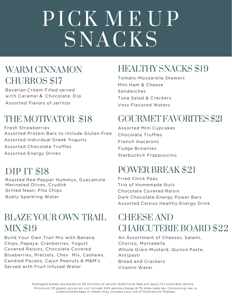# PICK MEUP SNACKS

#### WARM CINNAMON CHURROS \$17

Bavarian Cream Filled served with Caramel & Chocolate Dip Assorted Flavors of Jarritos

## THE MOTIVATOR \$18

Fresh Strawberries Assorted Protein Bars to include Gluten Free Assorted Individual Greek Yogurts Assorted Chocolate Truffles Assorted Energy Drinks

## DIP IT \$18

Roasted Red Pepper Hummus, Guacamole Marinated Olives, Crudité Grilled Naan, Pita Chips Bubly Sparkling Water

#### BLAZE YOUR OWN TRAIL. MIX \$19

Build Your Own Trail Mix with Banana Chips, Papaya, Cranberries, Yogurt Covered Raisins, Chocolate Covered Blueberries, Pretzels, Chex Mix, Cashews, Candied Pecans, Cajun Peanuts & M&M's Served with Fruit Infused Water

## HEALTHY SNACKS \$19

Tomato-Mozzarella Skewers Mini Ham & Cheese Sandwiches Tuna Salad & Crackers Voss Flavored Waters

## GOURMET FAVORITES \$21

Assorted Mini Cupcakes Chocolate Truffles French macarons Fudge Brownies Starbucks® Frappuccino

## POWER BREAK \$21

Fried Chick Peas Trio of Homemade Nuts Chocolate Covered Raisin Dark Chocolate Energy Power Bars Assorted Celsius Healthy Energy Drink

## CHEESE AND CHARCUTERIE BOARD \$22

An Assortment of Cheeses, Salami, Chorizo, Mortadella Whole Grain Mustard, Quince Paste, Antipasti Bread and Crackers Vitamin Water

Minimum 20 guests, prices do not include 24% service charge & 7% state sales tax. Consuming raw or undercooked eggs or meats may increase your risk of food borne illnesses. Packaged breaks are based on 30 minutes of service. Additional fees will apply for extended service.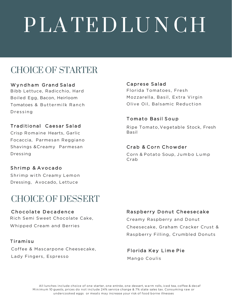# PLATED LUNCH

## CHOICE OF STARTER

#### Wyndham Grand Salad

Bibb Lettuce, Radicchio, Hard Boiled Egg, Bacon, Heirloom Tomatoes & Buttermilk Ranch Dressing

#### Traditional Caesar Salad

Crisp Romaine Hearts, Garlic Focaccia, Parmesan Reggiano Shavings &Creamy Parmesan Dressing

#### Shrimp & Avocado

Shrimp with Creamy Lemon Dressing, Avocado, Lettuce

#### CHOICE OF DESSERT

#### Chocolate Decadence Rich Semi Sweet Chocolate Cake,

Whipped Cream and Berries

#### Tiramisu

Coffee & Mascarpone Cheesecake, Lady Fingers, Espresso

#### Caprese Salad

Florida Tomatoes, Fresh Mozzarella, Basil, Extra Virgin Olive Oil, Balsamic Reduction

#### Tomato Basil Soup

Ripe Tomato, Vegetable Stock, Fresh Basil

#### Crab & Corn Chowder

Corn & Potato Soup, Jumbo Lump Crab

#### Raspberry Donut Cheesecake

Creamy Raspberry and Donut Cheesecake, Graham Cracker Crust & Raspberry Filling, Crumbled Donuts

#### Florida Key Lime Pie

Mango Coulis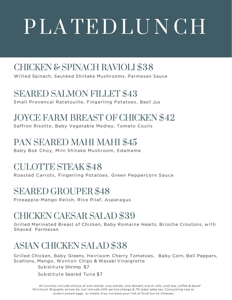# PLA TEDLUNCH

## CHICKEN & SPINACH RAVIOLI \$38

Wilted Spinach, Sautéed Shiitake Mushrooms, Parmesan Sauce

### SEARED SALMON FILLET \$43

Small Provencal Ratatouille, Fingerling Potatoes, Basil Jus

## JOYCE FARM BREAST OF CHICKEN \$42

Saffron Risotto, Baby Vegetable Medley, Tomato Coulis

## PAN SEARED MAHI MAHI \$45

Baby Bok Choy, Mini Shitake Mushroom, Edamame

## CULOTTE STEAK \$48

Roasted Carrots, Fingerling Potatoes, Green Peppercorn Sauce

## SEARED GROUPER \$48

Pineapple-Mango Relish, Rice Pilaf, Asparagus

## CHICKEN CAESAR SALAD \$39

Grilled Marinated Breast of Chicken, Baby Romaine Hearts, Brioche Croutons, with Shaved Parmesan

## ASIAN CHICKEN SALAD \$38

Grilled Chicken, Baby Greens, Heirloom Cherry Tomatoes, Baby Corn, Bell Peppers, Scallions, Mango, Wonton Chips & Wasabi Vinaigrette

Sub stitute Shrimp \$7

Sub stitute Seared Tuna \$7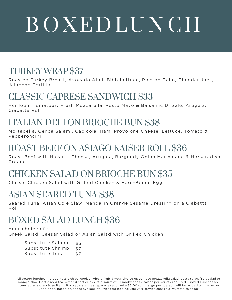# B O XED LU N CH

#### TURKEY WRAP \$37

Roasted Turkey Breast, Avocado Aioli, Bibb Lettuce, Pico de Gallo, Cheddar Jack, Jalapeno Tortilla

#### CLASSIC CAPRESE SANDWICH \$33

Heirloom Tomatoes, Fresh Mozzarella, Pesto Mayo & Balsamic Drizzle, Arugula, Ciabatta Roll

#### ITALIAN DELI ON BRIOCHE BUN \$38

Mortadella, Genoa Salami, Capicola, Ham, Provolone Cheese, Lettuce, Tomato & Pepperoncini

### ROAST BEEF ON ASIAGO KAISER ROLL \$36

Roast Beef with Havarti Cheese, Arugula, Burgundy Onion Marmalade & Horseradish Cream

## CHICKEN SALAD ON BRIOCHE BUN \$35

Classic Chicken Salad with Grilled Chicken & Hard-Boiled Egg

#### ASIAN SEARED TUNA \$38

Seared Tuna, Asian Cole Slaw, Mandarin Orange Sesame Dressing on a Ciabatta Roll

## BOXED SALAD LUNCH \$36

Your choice of : Greek Salad, Caesar Salad or Asian Salad with Grilled Chicken

> Substitute Salmon Substitute Shrimp Substitute Tuna \$5 \$7 \$7

All boxed lunches include kettle chips, cookie, whole fruit & your choice of: tomato mozzarella salad, pasta salad, fruit salad or mango slaw. Bottle iced tea, water & soft drinks. Minimum of 10 sandwiches / salads per variety required. Boxed Lunches are intended as a grab & go item. If a separate meal space is required a \$6.00 sur charge per person will be added to the boxed lunch price, based on space availability. Prices do not include 24% service charge & 7% state sales tax.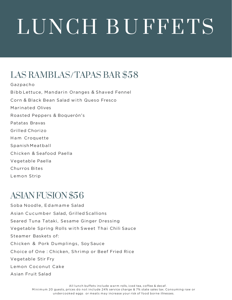## LAS RAMBLAS/TAPAS BAR \$58

Gazpacho Bibb Lettuce, Mandarin Oranges & Shaved Fennel Corn & Black Bean Salad with Queso Fresco Marinated Olives Roasted Peppers & Boquerón's Patatas Bravas Grilled Chorizo Ham Croquette Spanish Meatball Chicken & Seafood Paella Vegetable Paella Churros Bites Lemon Strip

#### ASIAN FUSION \$56

Soba Noodle, Edamame Salad Asian Cucumber Salad, Grilled Scallions Seared Tuna Tataki, Sesame Ginger Dressing Vegetable Spring Rolls with Sweet Thai Chili Sauce Steamer Baskets of: Chicken & Pork Dumplings, Soy Sauce Choice of One : Chicken, Shrimp or Beef Fried Rice Vegetable Stir Fry Lemon Coconut Cake Asian Fruit Salad

> All lunch buffets include warm rolls, iced tea, coffee & decaf. Minimum 20 guests, prices do not include 24% service charge & 7% state sales tax. Consuming raw or undercooked eggs or meats may increase your risk of food borne illnesses.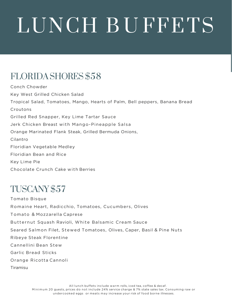## FLORIDA SHORES \$58

Conch Chowder Key West Grilled Chicken Salad Tropical Salad, Tomatoes, Mango, Hearts of Palm, Bell peppers, Banana Bread Croutons Grilled Red Snapper, Key Lime Tartar Sauce Jerk Chicken Breast with Mango-Pineapple Salsa Orange Marinated Flank Steak, Grilled Bermuda Onions, Cilantro Floridian Vegetable Medley Floridian Bean and Rice Key Lime Pie Chocolate Crunch Cake with Berries

#### TUSCANY \$57

Tomato Bisque Romaine Heart, Radicchio, Tomatoes, Cucumbers, Olives Tomato & Mozzarella Caprese Butternut Squash Ravioli, White Balsamic Cream Sauce Seared Salmon Filet, Stewed Tomatoes, Olives, Caper, Basil & Pine Nuts Ribeye Steak Florentine Cannellini Bean Stew Garlic Bread Sticks Orange Ricotta Cannoli Tiramisu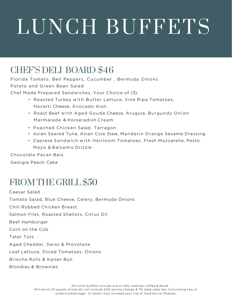#### CHEF'S DELI BOARD \$46

Florida Tomato, Bell Peppers, Cucumber , Bermuda Onions Potato and Green Bean Salad

Chef Made Prepared Sandwiches, Your Choice of (3):

- Roasted Turkey with Butter Lettuce, Vine Ripe Tomatoes, Havarti Cheese, Avocado Aioli
- Roast Beef with Aged Gouda Cheese, Arugula, Burgundy Onion Marmalade & Horseradish Cream
- Poached Chicken Salad, Tarragon
- Asian Seared Tuna, Asian Cole Slaw, Mandarin Orange Sesame Dressing
- Caprese Sandwich with Heirloom Tomatoes, Fresh Mozzarella, Pesto Mayo & Balsamic Drizzle

Chocolate Pecan Bars

Georgia Peach Cake

#### FROM THE GRILL \$50

Caesar Salad Tomato Salad, Blue Cheese, Celery, Bermuda Onions Chili Rubbed Chicken Breast Salmon Filet, Roasted Shallots, Citrus Oil Beef Hamburger Corn on the Cob Tater Tots Aged Cheddar, Swiss & Provolone Leaf Lettuce, Sliced Tomatoes, Onions Brioche Rolls & Kaiser Bun Blondies & Brownies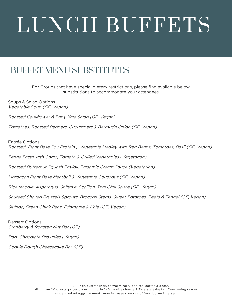### BUFFET MENU SUBSTITUTES

For Groups that have special dietary restrictions, please find available below substitutions to accommodate your attendees

Soups & Salad Options Vegetable Soup (GF, Vegan)

Roasted Cauliflower & Baby Kale Salad (GF, Vegan)

Tomatoes, Roasted Peppers, Cucumbers & Bermuda Onion (GF, Vegan)

Entrée Options

Roasted Plant Base Soy Protein , Vegetable Medley with Red Beans, Tomatoes, Basil (GF, Vegan)

Penne Pasta with Garlic, Tomato & Grilled Vegetables (Vegetarian)

Roasted Butternut Squash Ravioli, Balsamic Cream Sauce (Vegetarian)

Moroccan Plant Base Meatball & Vegetable Couscous (GF, Vegan)

Rice Noodle, Asparagus, Shiitake, Scallion, Thai Chili Sauce (GF, Vegan)

Sautéed Shaved Brussels Sprouts, Broccoli Stems, Sweet Potatoes, Beets & Fennel (GF, Vegan)

Quinoa, Green Chick Peas, Edamame & Kale (GF, Vegan)

Dessert Options Cranberry & Roasted Nut Bar (GF)

Dark Chocolate Brownies (Vegan)

Cookie Dough Cheesecake Bar (GF)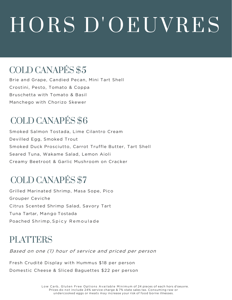# HORS D'OEUVRES

## COLD CANAPÉS \$5

Brie and Grape, Candied Pecan, Mini Tart Shell Crostini, Pesto, Tomato & Coppa Bruschetta with Tomato & Basil Manchego with Chorizo Skewer

## COLD CANAPÉS \$6

Smoked Salmon Tostada, Lime Cilantro Cream Devilled Egg, Smoked Trout Smoked Duck Prosciutto, Carrot Truffle Butter, Tart Shell Seared Tuna, Wakame Salad, Lemon Aioli Creamy Beetroot & Garlic Mushroom on Cracker

## COLD CANAPÉS \$7

Grilled Marinated Shrimp, Masa Sope, Pico Grouper Ceviche Citrus Scented Shrimp Salad, Savory Tart Tuna Tartar, Mango Tostada Poached Shrimp, Spicy Remoulade

#### PLATTERS

Based on one (1) hour of service and priced per person

Fresh Crudité Display with Hummus \$18 per person Domestic Cheese & Sliced Baguettes \$22 per person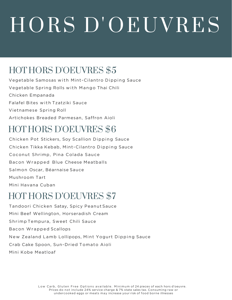# HORS D'OEUVRES

### HOT HORS D'OEUVRES \$5

Vegetable Samosas with Mint -Cilantro Dipping Sauce Vegetable Spring Rolls with Mango Thai Chili Chicken Empanada Falafel Bites with Tzatziki Sauce Vietnamese Spring Roll Artichokes Breaded Parmesan, Saffron Aioli

### HOT HORS D'OEUVRES \$6

Chicken Pot Stickers, Soy Scallion Dipping Sauce Chicken Tikka Kebab, Mint -Cilantro Dipping Sauce Coconut Shrimp, Pina Colada Sauce Bacon Wrapped Blue Cheese Meatballs Salmon Oscar, Béarnaise Sauce Mushroom Tart Mini Havana Cuban

#### HOT HORS D'OEUVRES \$7

Tandoori Chicken Satay, Spicy Peanut Sauce Mini Beef Wellington, Horseradish Cream Shrimp Tempura, Sweet Chili Sauce Bacon Wrapped Scallops New Zealand Lamb Lollipops, Mint Yogurt Dipping Sauce Crab Cake Spoon, Sun-Dried Tomato Aioli Mini Kobe Meatloaf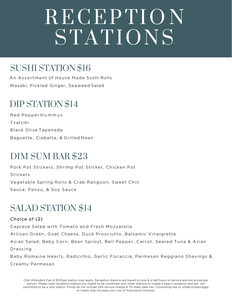## R ECEP TI O N STATIONS

## SUSHI STATION \$16

An Assortment of House Made Sushi Rolls Wasabi, Pickled Ginger, Seaweed Salad

#### DIP STATION \$14

Red Pepper Hummus Tzatziki Black Olive Tapenade Baguette, Ciabatta, & Grilled Naan

#### DIM SUM BAR \$23

Pork Pot Stickers, Shrimp Pot Sticker , Chicken Pot Stickers Vegetable Spring Rolls & Crab Rangoon, Sweet Chili Sauce, Ponzu, & Soy Sauce

#### SALAD STATION \$14

#### Choice of (2)

Caprese Salad with Tomato and Fresh Mozzarella Artisan Green, Goat Cheese, Duck Prosciutto, Balsamic Vinaigrette Asian Salad, Baby Corn, Bean Sprout, Bell Pepper, Carrot, Seared Tuna & Asian Dressing Baby Romaine Hearts, Radicchio, Garlic Focaccia, Parmesan Reggiano Shavings &

Creamy Parmesan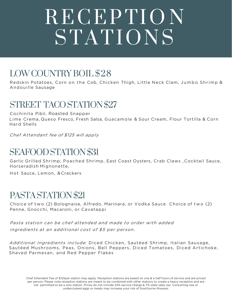## RECEPTION STATIONS

## LOWCOUNTRY BOIL \$28

Redskin Potatoes, Corn on the Cob, Chicken Thigh, Little Neck Clam, Jumbo Shrimp & Andouille Sausage

#### STREET TACO STATION \$27

Cochinita Pibil, Roasted Snapper Lime Crema, Queso Fresco, Fresh Salsa, Guacamole & Sour Cream, Flour Tortilla & Corn Hard Shells

Chef Attendant fee of \$125 will apply

#### SEAFOOD STATION \$31

Garlic Grilled Shrimp, Poached Shrimp, East Coast Oysters, Crab Claws , Cocktail Sauce, Horseradish Mignonette,

Hot Sauce, Lemon, &Crackers

#### PASTA STATION \$21

Choice of two (2) Bolognaise, Alfredo, Marinara, or Vodka Sauce Choice of two (2) Penne, Gnocchi, Macaroni, or Cavatappi

Pasta station can be chef attended and made to order with added ingredients at an additional cost of \$5 per person.

Additional Ingredients include: Diced Chicken, Sautéed Shrimp, Italian Sausage, Sautéed Mushrooms, Peas, Onions, Bell Peppers, Diced Tomatoes, Diced Artichoke, Shaved Parmesan, and Red Pepper Flakes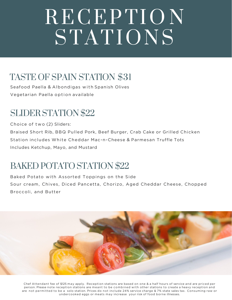## RECEPTION STATIONS

## TASTE OF SPAIN STATION \$31

Seafood Paella & Albondigas with Spanish Olives Vegetarian Paella option available

#### SLIDER STATION \$22

Choice of two (2) Sliders:

Braised Short Rib, BBQ Pulled Pork, Beef Burger, Crab Cake or Grilled Chicken Station includes White Cheddar Mac-n-Cheese & Parmesan Truffle Tots Includes Ketchup, Mayo, and Mustard

## BAKED POTATO STATION \$22

Baked Potato with Assorted Toppings on the Side Sour cream, Chives, Diced Pancetta, Chorizo, Aged Cheddar Cheese, Chopped Broccoli, and Butter



Chef Attendant fee of \$125 may apply. Reception stations are based on one & a half hours of service and are priced per person. Please note reception stations are meant to be combined with other stations to create a heavy reception and are not permitted to be a solo station. Prices do not include 24% service charge & 7% state sales tax. Consuming raw or undercooked eggs or meats may increase your risk of food borne illnesses.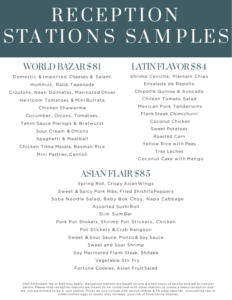## RECEPTION STATIONS SAMPLES

#### WORLD BAZAR \$81

Domestic & Imported Cheeses & Salami Hummus, Raita, Tapenade Croutons, Naan Dolmates, Marinated Olives Heirloom Tomatoes & Mini Burrata Chicken Shawarma Cucumber, Onions, Tomatoes, Tahini Sauce Pierogis & Bratwurst Sour Cream & Onions Spaghetti & Meatball Chicken Tikka Masala, Basmati Rice Mini Pastries, Cannoli

## LATIN FLAVOR \$84

Shrimp Ceviche, Plantain Chips Ensalada de Repollo Chipotle Quinoa & Avocado Chilean Tomato Salad Mexican Pork Tenderloins Flank Steak Chimichurri Coconut Chicken Sweet Potatoes Roasted Corn Yellow Rice with Peas Tres Leches Coconut Cake with Mango

#### ASIAN FLAIR \$85

Spring Roll, Crispy Asian Wings Sweet & Spicy Pork Ribs, Fried Shishito Peppers Soba Noodle Salad, Baby Bok Choy, Napa Cabbage Assorted Sushi Roll Dim Sum Bar Pork Pot Stickers, Shrimp Pot Stickers, Chicken Pot Stickers & Crab Rangoon Sweet & Sour Sauce, Ponzu & Soy Sauce Sweet and Sour Shrimp Soy Marinated Flank Steak, Shitake Vegetable Stir Fry Fortune Cookies, Asian Fruit Salad

Chef Attendant fee of \$125 may apply. Reception stations are based on one & a half hours of service and are priced per person. Please note reception stations are meant to be combined with other stations to create a heavy reception and are not permitted to be a solo station. Prices do not include 24% service charge & 7% state sales tax. Consuming raw or undercooked eggs or meats may increase your risk of food borne illnesses.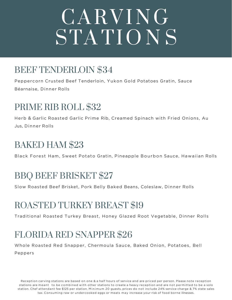# CARVING STATIONS

## BEEF TENDERLOIN \$34

Peppercorn Crusted Beef Tenderloin, Yukon Gold Potatoes Gratin, Sauce Béarnaise, Dinner Rolls

### PRIME RIB ROLL \$32

Herb & Garlic Roasted Garlic Prime Rib, Creamed Spinach with Fried Onions, Au Jus, Dinner Rolls

#### BAKED HAM \$23

Black Forest Ham, Sweet Potato Gratin, Pineapple Bourbon Sauce, Hawaiian Rolls

## BBQ BEEF BRISKET \$27

Slow Roasted Beef Brisket, Pork Belly Baked Beans, Coleslaw, Dinner Rolls

## ROASTED TURKEY BREAST \$19

Traditional Roasted Turkey Breast, Honey Glazed Root Vegetable, Dinner Rolls

## FLORIDA RED SNAPPER \$26

Whole Roasted Red Snapper, Chermoula Sauce, Baked Onion, Potatoes, Bell Peppers

Reception carving stations are based on one & a half hours of service and are priced per person. Please note reception stations are meant to be combined with other stations to create a heavy reception and are not permitted to be a solo station. Chef attendant fee \$125 per station. Minimum 20 guests, prices do not include 24% service charge & 7% state sales tax. Consuming raw or undercooked eggs or meats may increase your risk of food borne illnesses.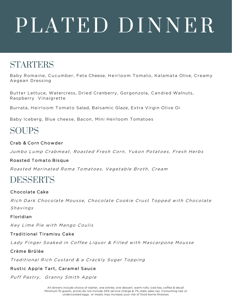# PLATED DINNER

#### STARTERS

Baby Romaine, Cucumber , Feta Cheese, Heirloom Tomato, Kalamata Olive, Creamy Aegean Dressing

Butter Lettuce, Watercress, Dried Cranberry, Gorgonzola, Candied Walnuts, Raspberry Vinaigrette

Burrata, Heirloom Tomato Salad, Balsamic Glaze, Extra Virgin Olive Oi

Baby Iceberg, Blue cheese, Bacon, Mini Heirloom Tomatoes

#### SOUPS

#### Crab & Corn Chowder

Jumbo Lump Crabmeat, Roasted Fresh Corn, Yukon Potatoes, Fresh Herbs

#### Roasted Tomato Bisque

Roasted Marinated Roma Tomatoes, Vegetable Broth, Cream

#### DESSERTS

#### Chocolate Cake

Rich Dark Chocolate Mousse, Chocolate Cookie Crust Topped with Chocolate Shavings

#### Floridian

Key Lime Pie with Mango Coulis

#### Traditional Tiramisu Cake

Lady Finger Soaked in Coffee Liquor & Filled with Mascarpone Mousse

#### Crème Brûlèe

Traditional Rich Custard & a Crackly Sugar Topping

#### Rustic Apple Tart, Caramel Sauce

Puff Pastry, Granny Smith Apple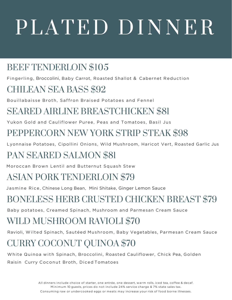# PLATED DINNER

## BEEF TENDERLOIN \$105

Fingerling, Broccolini, Baby Carrot, Roasted Shallot & Cabernet Reduction

## CHILEAN SEA BASS \$92

Bouillabaisse Broth, Saffron Braised Potatoes and Fennel

## SEARED AIRLINE BREASTCHICKEN \$81

Yukon Gold and Cauliflower Puree, Peas and Tomatoes, Basil Jus

## PEPPERCORN NEW YORK STRIP STEAK \$98

Lyonnaise Potatoes, Cipollini Onions, Wild Mushroom, Haricot Vert, Roasted Garlic Jus

## PAN SEARED SALMON \$81

Moroccan Brown Lentil and Butternut Squash Stew

## ASIAN PORK TENDERLOIN \$79

Jasmine Rice, Chinese Long Bean, Mini Shitake, Ginger Lemon Sauce

## BONELESS HERB CRUSTED CHICKEN BREAST \$79

Baby potatoes, Creamed Spinach, Mushroom and Parmesan Cream Sauce

## WILD MUSHROOM RAVIOLI \$70

Ravioli, Wilted Spinach, Sautéed Mushroom, Baby Vegetables, Parmesan Cream Sauce

## CURRY COCONUT QUINOA \$70

White Quinoa with Spinach, Broccolini, Roasted Cauliflower, Chick Pea, Golden Raisin Curry Coconut Broth, Diced Tomatoes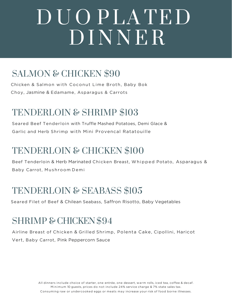## D U O PLA TED DINNER

## SALMON & CHICKEN \$90

Chicken & Salmon with Coconut Lime Broth, Baby Bok Choy, Jasmine & Edamame, Asparagus & Carrots

#### TENDERLOIN & SHRIMP \$103

Seared Beef Tenderloin with Truffle Mashed Potatoes, Demi Glace & Garlic and Herb Shrimp with Mini Provencal Ratatouille

## TENDERLOIN & CHICKEN \$100

Beef Tenderloin & Herb Marinated Chicken Breast, Whipped Potato, Asparagus & Baby Carrot, Mushroom Demi

## TENDERLOIN & SEABASS \$105

Seared Filet of Beef & Chilean Seabass, Saffron Risotto, Baby Vegetables

#### SHRIMP & CHICKEN\$94

Airline Breast of Chicken & Grilled Shrimp, Polenta Cake, Cipollini, Haricot Vert, Baby Carrot, Pink Peppercorn Sauce

> All dinners include choice of starter, one entrée, one dessert, warm rolls, iced tea, coffee & decaf. Minimum 10 guests, prices do not include 24% service charge & 7% state sales tax. Consuming raw or undercooked eggs or meats may increase your risk of food borne illnesses.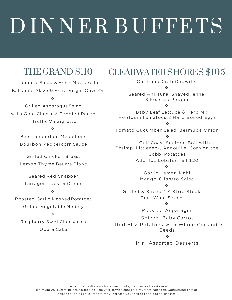# D INNER BUFFETS

## THE GRAND \$110

Tomato Salad & Fresh Mozzarella Balsamic Glaze & Extra Virgin Olive Oil

#### $\sigma_{\rm eff}^{\rm th}$

Grilled Asparagus Salad with Goat Cheese & Candied Pecan Truffle Vinaigrette

#### $\frac{1}{2}$

Beef Tenderloin Medallions Bourbon Peppercorn Sauce

Grilled Chicken Breast Lemon Thyme Beurre Blanc

Seared Red Snapper Tarragon Lobster Cream

#### $\frac{1}{2}$

Roasted Garlic Mashed Potatoes Grilled Vegetable Medley

#### $\mathcal{L}$

Raspberry Swirl Cheesecake Opera Cake

### CLEARWATER SHORES \$105

Corn and Crab Chowder

 $\frac{1}{2}$ 

Seared Ahi Tuna, Shaved Fennel & Roasted Pepper

 $\frac{1}{2}$ 

Baby Leaf Lettuce & Herb Mix, Heirloom Tomatoes & Hard Boiled Eggs

❖

Tomato Cucumber Salad, Bermuda Onion ÷

Gulf Coast Seafood Boil with Shrimp, Littleneck, Andouille, Corn on the Cobb, Potatoes Add 4oz Lobster Tail \$20

 $\mathbf{A}$ 

Garlic Lemon Mahi Mango-Cilantro Salsa

#### $\frac{1}{2}$

Grilled & Sliced NY Strip Steak Port Wine Sauce

 $\mathbf{v}_{\mathbf{c}}^{\mathbf{e}}$ 

Roasted Asparagus

Spiced Baby Carrot

Red Bliss Potatoes with Whole Coriander Seeds

#### $\frac{1}{2}$

Mini Assorted Desserts

All dinner buffets include warm rolls, iced tea, coffee & decaf. Minimum 20 guests, prices do not include 24% service charge & 7% state sales tax. Consuming raw or undercooked eggs or meats may increase your risk of food borne illnesses.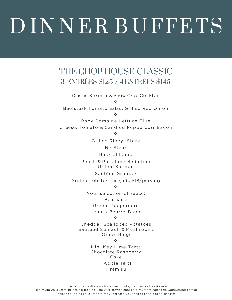# D INNER BUFFETS

#### THE CHOP HOUSE CLASSIC 3 ENTRÉES \$125 / 4ENTRÉES \$145

Classic Shrimp & Snow Crab Cocktail ❖

Beefsteak Tomato Salad, Grilled Red Onion

❖

Baby Romaine Lettuce, Blue Cheese, Tomato & Candied Peppercorn Bacon

 $\mathbf{A}$ 

Grilled Ribeye Steak

NY Steak

Rack of Lamb

Peach & Pork Loin Medallion Grilled Salmon

Sautéed Grouper

Grilled Lobster Tail (add \$18/person)

 $\frac{1}{2}$ 

Your selection of sauce:

Béarnaise

Green Peppercorn

Lemon Beurre Blanc

#### $\sigma_{\rm eff}^{\rm th}$

Cheddar Scalloped Potatoes Sautéed Spinach & Mushrooms Onion Rings

 $\frac{1}{2}$ 

Mini Key Lime Tarts Chocolate Raspberry Cake Apple Tarts Tiramisu

All dinner buffets include warm rolls, iced tea, coffee & decaf. Minimum 20 guests, prices do not include 24% service charge & 7% state sales tax. Consuming raw or undercooked eggs or meats may increase your risk of food borne illnesses.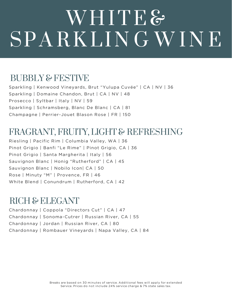## WHITE& SPARKLING WINE

#### BUBBLY & FESTIVE

Sparkling | Kenwood Vineyards, Brut "Yulupa Cuvée" | CA | NV | 36 Sparkling | Domaine Chandon, Brut | CA | NV | 48 Prosecco | Syltbar | Italy | NV | 59 Sparkling | Schramsberg, Blanc De Blanc | CA | 81 Champagne | Perrier-Jouet Blason Rose | FR | 150

#### FRAGRANT, FRUITY, LIGHT & REFRESHING

Riesling | Pacific Rim | Columbia Valley, WA | 36 Pinot Grigio | Banfi "Le Rime" | Pinot Grigio, CA | 36 Pinot Grigio | Santa Margherita | Italy | 56 Sauvignon Blanc | Honig "Rutherford" | CA | 45 Sauvignon Blanc | Nobilo Icon| CA | 50 Rose | Minuty "M" | Provence, FR | 46 White Blend | Conundrum | Rutherford, CA | 42

#### RICH & ELEGANT

Chardonnay | Coppola "Directors Cut" | CA | 47 Chardonnay | Sonoma-Cutrer | Russian River, CA | 55 Chardonnay | Jordan | Russian River, CA | 80 Chardonnay | Rombauer Vineyards | Napa Valley, CA | 84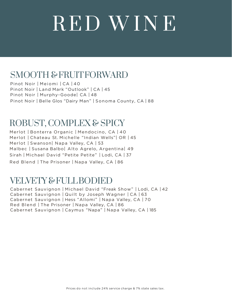# R ED W I N E

#### SMOOTH & FRUITFORWARD

Pinot Noir | Meiomi | CA | 40 Pinot Noir | Land Mark "Outlook" | CA | 45 Pinot Noir | Murphy-Goode| CA | 48 Pinot Noir | Belle Glos "Dairy Man" | Sonoma County, CA | 88

#### ROBUST, COMPLEX & SPICY

Merlot | Bonterra Organic | Mendocino, CA | 40 Merlot | Chateau St. Michelle "Indian Wells"| OR | 45 Merlot | Swanson| Napa Valley, CA | 53 Malbec | Susana Balbo| Alto Agrelo, Argentina| 49 Sirah | Michael David "Petite Petite" | Lodi, CA | 37 Red Blend | The Prisoner | Napa Valley, CA | 86

#### VELVETY & FULLBODIED

Cabernet Sauvignon | Michael David "Freak Show" | Lodi, CA | 42 Cabernet Sauvignon | Quilt by Joseph Wagner | CA | 63 Cabernet Sauvignon | Hess "Allomi" | Napa Valley, CA | 70 Red Blend | The Prisoner | Napa Valley, CA | 86 Cabernet Sauvignon | Caymus "Napa" | Napa Valley, CA | 185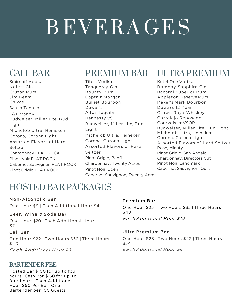# B EVERAGES

## CALL BAR

Smirnoff Vodka Nolets Gin Cruzan Rum Jim Beam Chivas Sauza Tequila E&J Brandy Budweiser, Miller Lite, Bud Light Michelob Ultra, Heineken, Corona, Corona Light Assorted Flavors of Hard Seltzer Chardonnay FLAT ROCK Pinot Noir FLAT ROCK Cabernet Sauvignon FLAT ROCK Pinot Grigio FLAT ROCK

Tito's Vodka Tanqueray Gin Bounty Rum Captain Morgan Bulliet Bourbon Dewar's Altos Tequila Hennessy VS Budweiser, Miller Lite, Bud Light Michelob Ultra, Heineken, Corona, Corona Light. Assorted Flavors of Hard Seltzer Pinot Grigio, Banfi Chardonnay, Twenty Acres Pinot Noir, Boen

Cabernet Sauvignon, Twenty Acres

## PREMIUM BAR ULTRA PREMIUM

Ketel One Vodka Bombay Sapphire Gin Bacardi Superior Rum Appleton Reserve Rum Maker's Mark Bourbon Dewars 12 Year Crown Royal Whiskey Corralejo Reposado Courvoisier VSOP Budweiser, Miller Lite, Bud Light Michelob Ultra, Heineken, Corona, Corona Light Assorted Flavors of Hard Seltzer Rose, Minuty Pinot Grigio, San Angelo Chardonnay, Directors Cut Pinot Noir, Landmark Cabernet Sauvignon, Quilt

#### HOSTED BAR PACKAGES

#### Non-Alcoholic Bar

One Hour \$9 | Each Additional Hour \$4

#### Beer, Wine & Soda Bar

One Hour \$20 | Each Additional Hour \$7

#### Call Bar

One Hour \$22 | Two Hours \$32 | Three Hours \$40

Each Additional Hour \$9

#### BARTENDER FEE

Hosted Bar \$100 for up to four hours Cash Bar \$150 for up to four hours Each Additional Hour \$50 Per Bar One Bartender per 100 Guests

#### Premium Bar

One Hour \$25 | Two Hours \$35 | Three Hours \$48

Each Additional Hour \$10

#### Ultra Premium Bar

One Hour \$28 | Two Hours \$42 | Three Hours \$54 Each Additional Hour \$11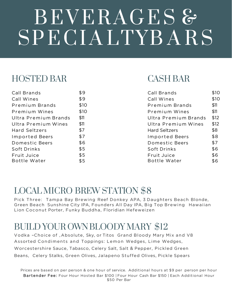# BEVERAGES & SPECIALTYBARS

### HOSTED BAR CASH BAR

| Call Brands          | \$9  | Call Brands          | \$1C |
|----------------------|------|----------------------|------|
| Call Wines           | \$9  | Call Wines           | \$1C |
| Premium Brands       | \$10 | Premium Brands       | \$11 |
| Premium Wines        | \$10 | Premium Wines        | \$11 |
| Ultra Premium Brands | \$11 | Ultra Premium Brands | \$12 |
| Ultra Premium Wines  | \$11 | Ultra Premium Wines  | \$12 |
| Hard Seltzers        | \$7  | <b>Hard Seltzers</b> | \$8  |
| Imported Beers       | \$7  | Imported Beers       | \$8  |
| Domestic Beers       | \$6  | Domestic Beers       | \$7  |
| Soft Drinks          | \$5  | Soft Drinks          | \$6  |
| Fruit Juice          | \$5  | Fruit Juice          | \$6  |
| Bottle Water         | \$5  | Bottle Water         | \$6  |

| Call Brands          | \$9  | Call Brands          | \$10 |
|----------------------|------|----------------------|------|
| Call Wines           | \$9  | Call Wines           | \$10 |
| Premium Brands       | \$10 | Premium Brands       | \$11 |
| Premium Wines        | \$10 | Premium Wines        | \$11 |
| Ultra Premium Brands | \$11 | Ultra Premium Brands | \$12 |
| Ultra Premium Wines  | \$11 | Ultra Premium Wines  | \$12 |
| <b>Hard Seltzers</b> | \$7  | <b>Hard Seltzers</b> | \$8  |
| Imported Beers       | \$7  | Imported Beers       | \$8  |
| Domestic Beers       | \$6  | Domestic Beers       | \$7  |
| Soft Drinks          | \$5  | Soft Drinks          | \$6  |
| Fruit Juice          | \$5  | Fruit Juice          | \$6  |
| <b>Bottle Water</b>  | \$5  | Bottle Water         | \$6  |

#### LOCAL MICRO BREW STATION \$8

Pick Three: Tampa Bay Brewing Reef Donkey APA, 3 Daughters Beach Blonde, Green Beach Sunshine City IPA, Founders All Day IPA, Big Top Brewing Hawaiian Lion Coconut Porter, Funky Buddha, Floridian Hefeweizen

## BUILD YOUR OWN BLOODY MARY \$12

Vodka –Choice of , Absolute, Sky, or Titos Grand Bloody Mary Mix and V8 Assorted Condiments and Toppings: Lemon Wedges, Lime Wedges, Worcestershire Sauce, Tabasco, Celery Salt, Salt & Pepper, Pickled Green Beans, Celery Stalks, Green Olives, Jalapeno Stuffed Olives, Pickle Spears

Prices are based on per person & one hour of service. Additional hours at \$9 per person per hour Bartender Fee: Four Hour Hosted Bar \$100 | Four Hour Cash Bar \$150 | Each Additional Hour \$50 Per Bar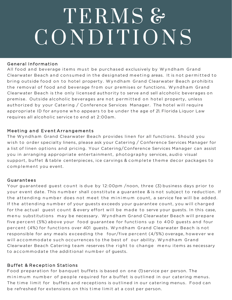# TERMS & CONDITIONS

#### General Information

All food and beverage items must be purchased exclusively by Wyndham Grand Clearwater Beach and consumed in the designated meeting areas. It is not permitted to bring outside food on to hotel property. Wyndham Grand Clearwater Beach prohibits the removal of food and beverage from our premises or functions. Wyndham Grand Clearwater Beach is the only licensed authority to serve and sell alcoholic beverages on premise. Outside alcoholic beverages are not permitted on hotel property, unless authorized by your Catering / Conference Services Manager. The hotel will require appropriate ID for anyone who appears to be under the age of 21. Florida Liquor Law requires all alcoholic service to end at 2:00am.

#### Meeting and Event Arrangements

The Wyndham Grand Clearwater Beach provides linen for all functions. Should you wish to order specialty linens, please ask your Catering / Conference Services Manager for a list of linen options and pricing. Your Catering/Conference Services Manager can assist you in arranging appropriate entertainment, photography services, audio visual support, buffet & table centerpieces, ice carvings & complete theme decor packages to complement you event.

#### Guarantees

Your guaranteed guest count is due by 12:00pm /noon, three (3) business days prior to your event date. This number shall constitute a guarantee & is not subject to reduction. If the attending number does not meet the minimum count, a service fee will be added. If the attending number of your guests exceeds your guarantee count, you will charged for the actual guest count & every effort will be made to serve your guests. In this case, menu substitutions may be necessary. Wyndham Grand Clearwater Beach will prepare five percent (5%) above your food guarantee for functions up to 400 guests and four percent (4%) for functions over 401 guests. Wyndham Grand Clearwater Beach is not responsible for any meals exceeding the four/five percent  $(4/5%)$  overage, however we will accommodate such occurrences to the best of our ability. Wyndham Grand Clearwater Beach Catering team reserves the right to change menu items as necessary to accommodate the additional number of guests.

#### Buffet & Reception Stations

Food preparation for banquet buffets is based on one (1) service per person. The minimum number of people required for a buffet is outlined in our catering menus. The time limit for buffets and receptions is outlined in our catering menus. Food can be refreshed for extensions on this time limit at a cost per person.